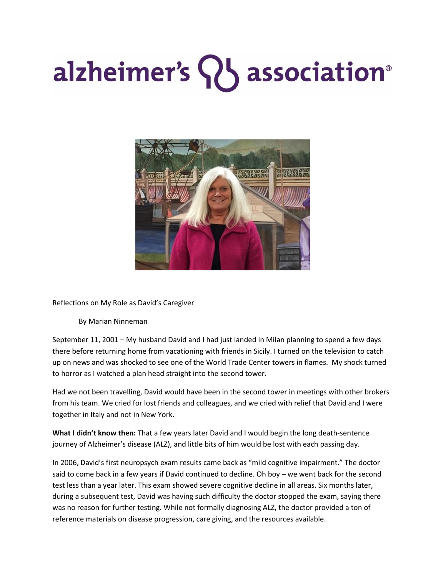## alzheimer's SU association<sup>®</sup>



Reflections on My Role as David's Caregiver

By Marian Ninneman

September 11, 2001 – My husband David and I had just landed in Milan planning to spend a few days there before returning home from vacationing with friends in Sicily. I turned on the television to catch up on news and was shocked to see one of the World Trade Center towers in flames. My shock turned to horror as I watched a plan head straight into the second tower.

Had we not been travelling, David would have been in the second tower in meetings with other brokers from his team. We cried for lost friends and colleagues, and we cried with relief that David and I were together in Italy and not in New York.

**What I didn't know then:** That a few years later David and I would begin the long death-sentence journey of Alzheimer's disease (ALZ), and little bits of him would be lost with each passing day.

In 2006, David's first neuropsych exam results came back as "mild cognitive impairment." The doctor said to come back in a few years if David continued to decline. Oh boy – we went back for the second test less than a year later. This exam showed severe cognitive decline in all areas. Six months later, during a subsequent test, David was having such difficulty the doctor stopped the exam, saying there was no reason for further testing. While not formally diagnosing ALZ, the doctor provided a ton of reference materials on disease progression, care giving, and the resources available.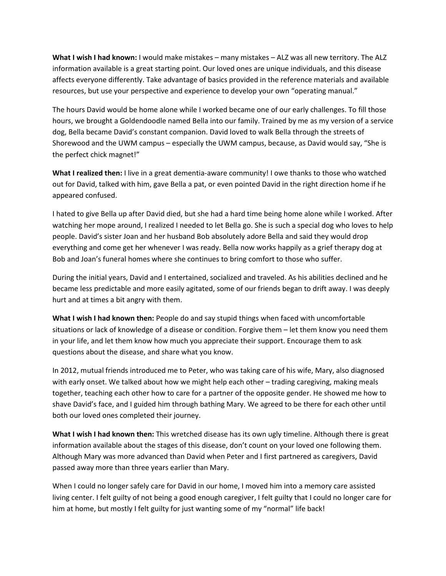**What I wish I had known:** I would make mistakes – many mistakes – ALZ was all new territory. The ALZ information available is a great starting point. Our loved ones are unique individuals, and this disease affects everyone differently. Take advantage of basics provided in the reference materials and available resources, but use your perspective and experience to develop your own "operating manual."

The hours David would be home alone while I worked became one of our early challenges. To fill those hours, we brought a Goldendoodle named Bella into our family. Trained by me as my version of a service dog, Bella became David's constant companion. David loved to walk Bella through the streets of Shorewood and the UWM campus – especially the UWM campus, because, as David would say, "She is the perfect chick magnet!"

**What I realized then:** I live in a great dementia-aware community! I owe thanks to those who watched out for David, talked with him, gave Bella a pat, or even pointed David in the right direction home if he appeared confused.

I hated to give Bella up after David died, but she had a hard time being home alone while I worked. After watching her mope around, I realized I needed to let Bella go. She is such a special dog who loves to help people. David's sister Joan and her husband Bob absolutely adore Bella and said they would drop everything and come get her whenever I was ready. Bella now works happily as a grief therapy dog at Bob and Joan's funeral homes where she continues to bring comfort to those who suffer.

During the initial years, David and I entertained, socialized and traveled. As his abilities declined and he became less predictable and more easily agitated, some of our friends began to drift away. I was deeply hurt and at times a bit angry with them.

**What I wish I had known then:** People do and say stupid things when faced with uncomfortable situations or lack of knowledge of a disease or condition. Forgive them – let them know you need them in your life, and let them know how much you appreciate their support. Encourage them to ask questions about the disease, and share what you know.

In 2012, mutual friends introduced me to Peter, who was taking care of his wife, Mary, also diagnosed with early onset. We talked about how we might help each other – trading caregiving, making meals together, teaching each other how to care for a partner of the opposite gender. He showed me how to shave David's face, and I guided him through bathing Mary. We agreed to be there for each other until both our loved ones completed their journey.

**What I wish I had known then:** This wretched disease has its own ugly timeline. Although there is great information available about the stages of this disease, don't count on your loved one following them. Although Mary was more advanced than David when Peter and I first partnered as caregivers, David passed away more than three years earlier than Mary.

When I could no longer safely care for David in our home, I moved him into a memory care assisted living center. I felt guilty of not being a good enough caregiver, I felt guilty that I could no longer care for him at home, but mostly I felt guilty for just wanting some of my "normal" life back!